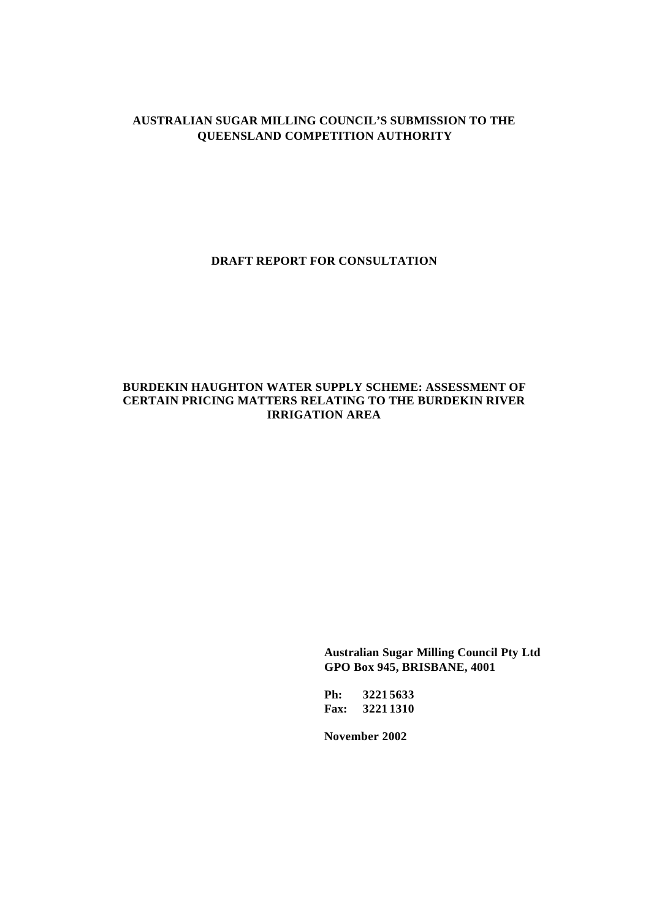# **AUSTRALIAN SUGAR MILLING COUNCIL'S SUBMISSION TO THE QUEENSLAND COMPETITION AUTHORITY**

**DRAFT REPORT FOR CONSULTATION**

## **BURDEKIN HAUGHTON WATER SUPPLY SCHEME: ASSESSMENT OF CERTAIN PRICING MATTERS RELATING TO THE BURDEKIN RIVER IRRIGATION AREA**

**Australian Sugar Milling Council Pty Ltd GPO Box 945, BRISBANE, 4001**

**Ph: 3221 5633 Fax: 3221 1310**

**November 2002**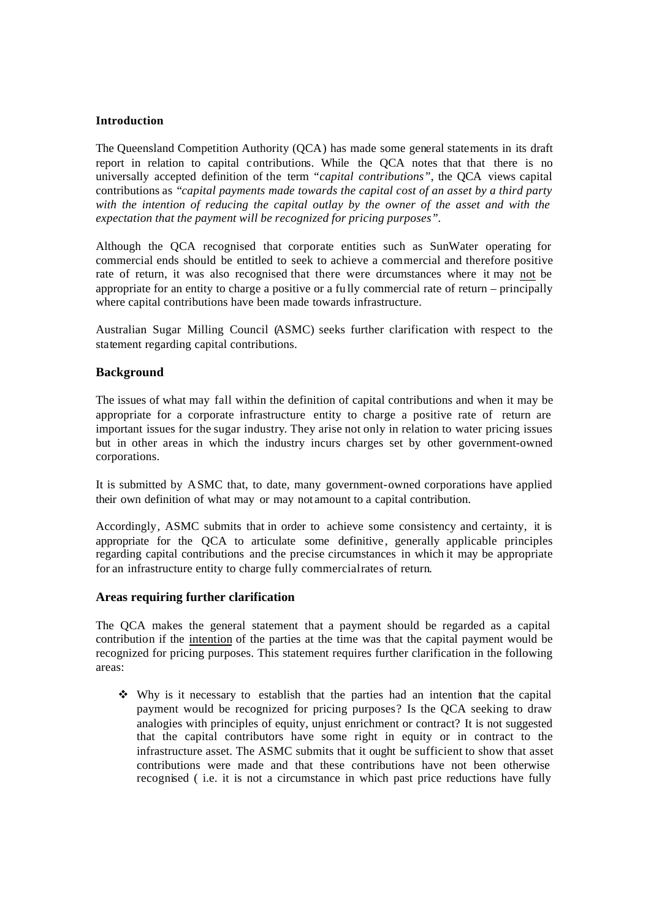## **Introduction**

The Queensland Competition Authority (QCA) has made some general statements in its draft report in relation to capital contributions. While the QCA notes that that there is no universally accepted definition of the term *"capital contributions"*, the QCA views capital contributions as "*capital payments made towards the capital cost of an asset by a third party with the intention of reducing the capital outlay by the owner of the asset and with the expectation that the payment will be recognized for pricing purposes".*

Although the QCA recognised that corporate entities such as SunWater operating for commercial ends should be entitled to seek to achieve a commercial and therefore positive rate of return, it was also recognised that there were circumstances where it may not be appropriate for an entity to charge a positive or a fu lly commercial rate of return – principally where capital contributions have been made towards infrastructure.

Australian Sugar Milling Council (ASMC) seeks further clarification with respect to the statement regarding capital contributions.

## **Background**

The issues of what may fall within the definition of capital contributions and when it may be appropriate for a corporate infrastructure entity to charge a positive rate of return are important issues for the sugar industry. They arise not only in relation to water pricing issues but in other areas in which the industry incurs charges set by other government-owned corporations.

It is submitted by ASMC that, to date, many government-owned corporations have applied their own definition of what may or may not amount to a capital contribution.

Accordingly, ASMC submits that in order to achieve some consistency and certainty, it is appropriate for the QCA to articulate some definitive, generally applicable principles regarding capital contributions and the precise circumstances in which it may be appropriate for an infrastructure entity to charge fully commercial rates of return.

#### **Areas requiring further clarification**

The QCA makes the general statement that a payment should be regarded as a capital contribution if the intention of the parties at the time was that the capital payment would be recognized for pricing purposes. This statement requires further clarification in the following areas:

 $\div$  Why is it necessary to establish that the parties had an intention that the capital payment would be recognized for pricing purposes? Is the QCA seeking to draw analogies with principles of equity, unjust enrichment or contract? It is not suggested that the capital contributors have some right in equity or in contract to the infrastructure asset. The ASMC submits that it ought be sufficient to show that asset contributions were made and that these contributions have not been otherwise recognised ( i.e. it is not a circumstance in which past price reductions have fully